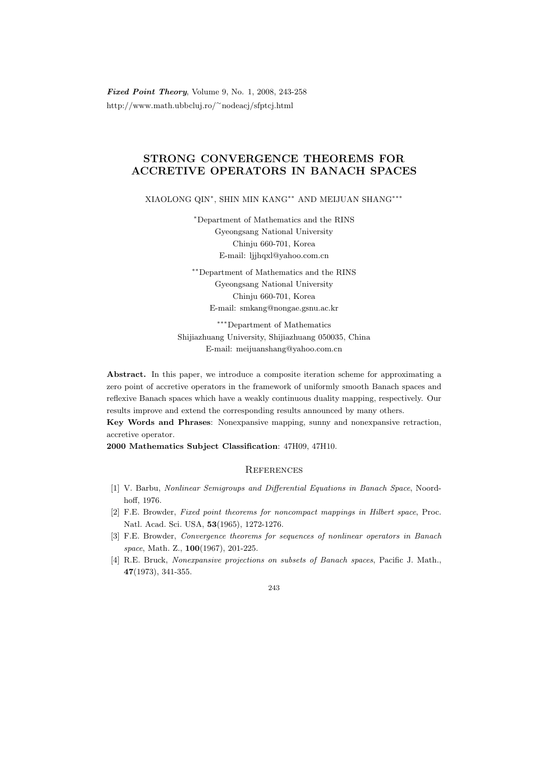Fixed Point Theory, Volume 9, No. 1, 2008, 243-258 http://www.math.ubbcluj.ro/<sup>∼</sup>nodeacj/sfptcj.html

## STRONG CONVERGENCE THEOREMS FOR ACCRETIVE OPERATORS IN BANACH SPACES

XIAOLONG QIN<sup>∗</sup> , SHIN MIN KANG∗∗ AND MEIJUAN SHANG∗∗∗

<sup>∗</sup>Department of Mathematics and the RINS Gyeongsang National University Chinju 660-701, Korea E-mail: ljjhqxl@yahoo.com.cn

∗∗Department of Mathematics and the RINS Gyeongsang National University Chinju 660-701, Korea E-mail: smkang@nongae.gsnu.ac.kr

∗∗∗Department of Mathematics Shijiazhuang University, Shijiazhuang 050035, China E-mail: meijuanshang@yahoo.com.cn

Abstract. In this paper, we introduce a composite iteration scheme for approximating a zero point of accretive operators in the framework of uniformly smooth Banach spaces and reflexive Banach spaces which have a weakly continuous duality mapping, respectively. Our results improve and extend the corresponding results announced by many others.

Key Words and Phrases: Nonexpansive mapping, sunny and nonexpansive retraction, accretive operator.

2000 Mathematics Subject Classification: 47H09, 47H10.

## **REFERENCES**

- [1] V. Barbu, Nonlinear Semigroups and Differential Equations in Banach Space, Noordhoff, 1976.
- [2] F.E. Browder, Fixed point theorems for noncompact mappings in Hilbert space, Proc. Natl. Acad. Sci. USA, 53(1965), 1272-1276.
- [3] F.E. Browder, Convergence theorems for sequences of nonlinear operators in Banach space, Math. Z., 100(1967), 201-225.
- [4] R.E. Bruck, Nonexpansive projections on subsets of Banach spaces, Pacific J. Math., 47(1973), 341-355.

## 243